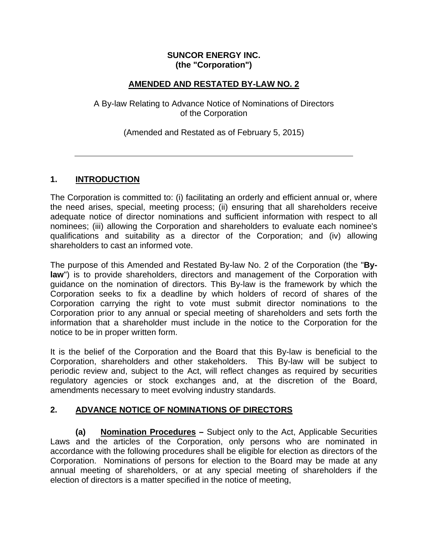#### **SUNCOR ENERGY INC. (the "Corporation")**

### **AMENDED AND RESTATED BY-LAW NO. 2**

A By-law Relating to Advance Notice of Nominations of Directors of the Corporation

(Amended and Restated as of February 5, 2015)

### **1. INTRODUCTION**

The Corporation is committed to: (i) facilitating an orderly and efficient annual or, where the need arises, special, meeting process; (ii) ensuring that all shareholders receive adequate notice of director nominations and sufficient information with respect to all nominees; (iii) allowing the Corporation and shareholders to evaluate each nominee's qualifications and suitability as a director of the Corporation; and (iv) allowing shareholders to cast an informed vote.

The purpose of this Amended and Restated By-law No. 2 of the Corporation (the "**Bylaw**") is to provide shareholders, directors and management of the Corporation with guidance on the nomination of directors. This By-law is the framework by which the Corporation seeks to fix a deadline by which holders of record of shares of the Corporation carrying the right to vote must submit director nominations to the Corporation prior to any annual or special meeting of shareholders and sets forth the information that a shareholder must include in the notice to the Corporation for the notice to be in proper written form.

It is the belief of the Corporation and the Board that this By-law is beneficial to the Corporation, shareholders and other stakeholders. This By-law will be subject to periodic review and, subject to the Act, will reflect changes as required by securities regulatory agencies or stock exchanges and, at the discretion of the Board, amendments necessary to meet evolving industry standards.

## **2. ADVANCE NOTICE OF NOMINATIONS OF DIRECTORS**

**(a) Nomination Procedures –** Subject only to the Act, Applicable Securities Laws and the articles of the Corporation, only persons who are nominated in accordance with the following procedures shall be eligible for election as directors of the Corporation. Nominations of persons for election to the Board may be made at any annual meeting of shareholders, or at any special meeting of shareholders if the election of directors is a matter specified in the notice of meeting,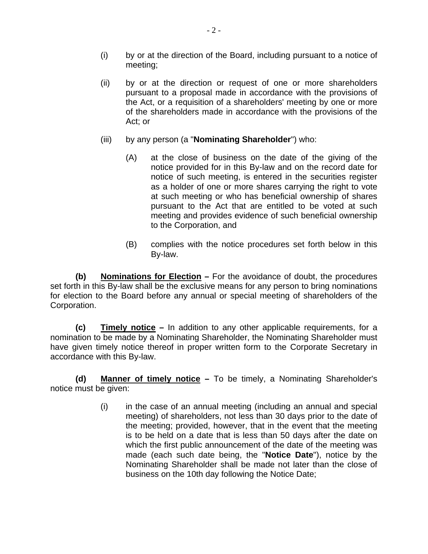- (i) by or at the direction of the Board, including pursuant to a notice of meeting;
- Act; or (ii) by or at the direction or request of one or more shareholders pursuant to a proposal made in accordance with the provisions of the Act, or a requisition of a shareholders' meeting by one or more of the shareholders made in accordance with the provisions of the
- (iii) by any person (a "**Nominating Shareholder**") who:
	- (A) at the close of business on the date of the giving of the notice provided for in this By-law and on the record date for notice of such meeting, is entered in the securities register as a holder of one or more shares carrying the right to vote at such meeting or who has beneficial ownership of shares pursuant to the Act that are entitled to be voted at such meeting and provides evidence of such beneficial ownership to the Corporation, and
	- (B) complies with the notice procedures set forth below in this By-law.

**(b) Nominations for Election –** For the avoidance of doubt, the procedures set forth in this By-law shall be the exclusive means for any person to bring nominations for election to the Board before any annual or special meeting of shareholders of the Corporation.

**(c) Timely notice –** In addition to any other applicable requirements, for a nomination to be made by a Nominating Shareholder, the Nominating Shareholder must have given timely notice thereof in proper written form to the Corporate Secretary in accordance with this By-law.

**(d) Manner of timely notice –** To be timely, a Nominating Shareholder's notice must be given:

> (i) in the case of an annual meeting (including an annual and special meeting) of shareholders, not less than 30 days prior to the date of the meeting; provided, however, that in the event that the meeting is to be held on a date that is less than 50 days after the date on which the first public announcement of the date of the meeting was made (each such date being, the "**Notice Date**"), notice by the Nominating Shareholder shall be made not later than the close of business on the 10th day following the Notice Date;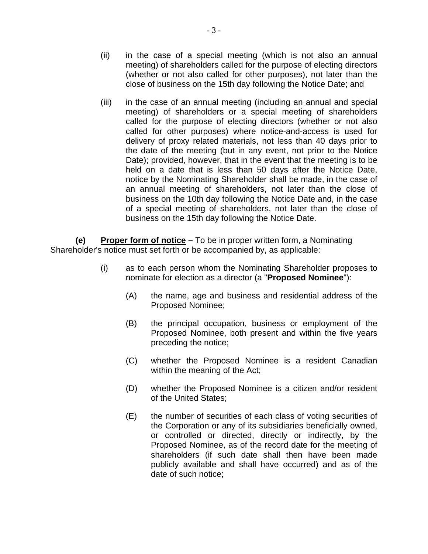- (ii) in the case of a special meeting (which is not also an annual meeting) of shareholders called for the purpose of electing directors (whether or not also called for other purposes), not later than the close of business on the 15th day following the Notice Date; and
- (iii) in the case of an annual meeting (including an annual and special meeting) of shareholders or a special meeting of shareholders called for the purpose of electing directors (whether or not also called for other purposes) where notice-and-access is used for delivery of proxy related materials, not less than 40 days prior to the date of the meeting (but in any event, not prior to the Notice Date); provided, however, that in the event that the meeting is to be held on a date that is less than 50 days after the Notice Date, notice by the Nominating Shareholder shall be made, in the case of an annual meeting of shareholders, not later than the close of business on the 10th day following the Notice Date and, in the case of a special meeting of shareholders, not later than the close of business on the 15th day following the Notice Date.

**(e) Proper form of notice –** To be in proper written form, a Nominating Shareholder's notice must set forth or be accompanied by, as applicable:

- (i) as to each person whom the Nominating Shareholder proposes to nominate for election as a director (a "**Proposed Nominee**"):
	- (A) the name, age and business and residential address of the Proposed Nominee;
	- (B) the principal occupation, business or employment of the Proposed Nominee, both present and within the five years preceding the notice;
	- (C) whether the Proposed Nominee is a resident Canadian within the meaning of the Act;
	- (D) whether the Proposed Nominee is a citizen and/or resident of the United States;
	- (E) the number of securities of each class of voting securities of the Corporation or any of its subsidiaries beneficially owned, or controlled or directed, directly or indirectly, by the Proposed Nominee, as of the record date for the meeting of shareholders (if such date shall then have been made publicly available and shall have occurred) and as of the date of such notice;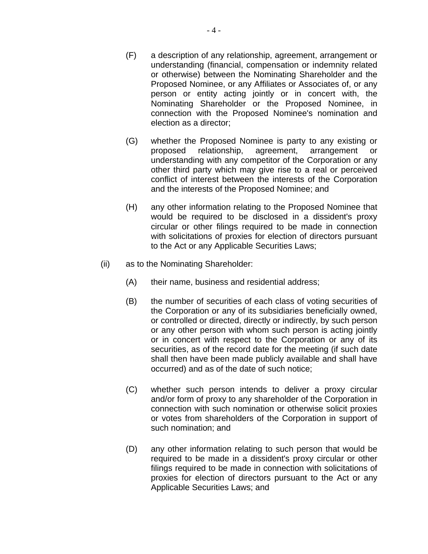- (F) a description of any relationship, agreement, arrangement or understanding (financial, compensation or indemnity related or otherwise) between the Nominating Shareholder and the Proposed Nominee, or any Affiliates or Associates of, or any person or entity acting jointly or in concert with, the Nominating Shareholder or the Proposed Nominee, in connection with the Proposed Nominee's nomination and election as a director;
- (G) whether the Proposed Nominee is party to any existing or proposed relationship, agreement, arrangement or understanding with any competitor of the Corporation or any other third party which may give rise to a real or perceived conflict of interest between the interests of the Corporation and the interests of the Proposed Nominee; and
- (H) any other information relating to the Proposed Nominee that would be required to be disclosed in a dissident's proxy circular or other filings required to be made in connection with solicitations of proxies for election of directors pursuant to the Act or any Applicable Securities Laws;
- (ii) as to the Nominating Shareholder:
	- (A) their name, business and residential address;
	- (B) the number of securities of each class of voting securities of the Corporation or any of its subsidiaries beneficially owned, or controlled or directed, directly or indirectly, by such person or any other person with whom such person is acting jointly or in concert with respect to the Corporation or any of its securities, as of the record date for the meeting (if such date shall then have been made publicly available and shall have occurred) and as of the date of such notice;
	- (C) whether such person intends to deliver a proxy circular and/or form of proxy to any shareholder of the Corporation in connection with such nomination or otherwise solicit proxies or votes from shareholders of the Corporation in support of such nomination; and
	- (D) any other information relating to such person that would be required to be made in a dissident's proxy circular or other filings required to be made in connection with solicitations of proxies for election of directors pursuant to the Act or any Applicable Securities Laws; and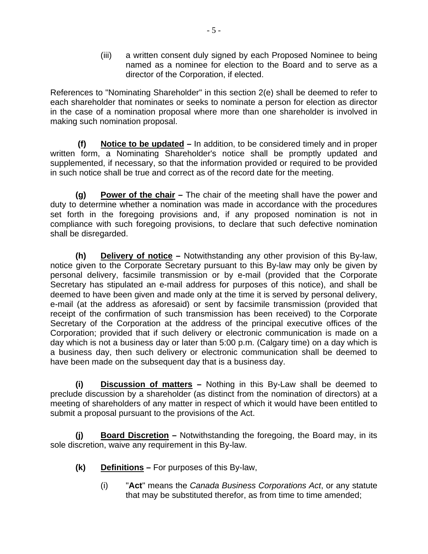(iii) a written consent duly signed by each Proposed Nominee to being named as a nominee for election to the Board and to serve as a director of the Corporation, if elected.

References to "Nominating Shareholder" in this section 2(e) shall be deemed to refer to each shareholder that nominates or seeks to nominate a person for election as director in the case of a nomination proposal where more than one shareholder is involved in making such nomination proposal.

**(f) Notice to be updated –** In addition, to be considered timely and in proper written form, a Nominating Shareholder's notice shall be promptly updated and supplemented, if necessary, so that the information provided or required to be provided in such notice shall be true and correct as of the record date for the meeting.

**(g) Power of the chair –** The chair of the meeting shall have the power and duty to determine whether a nomination was made in accordance with the procedures set forth in the foregoing provisions and, if any proposed nomination is not in compliance with such foregoing provisions, to declare that such defective nomination shall be disregarded.

**(h) Delivery of notice –** Notwithstanding any other provision of this By-law, notice given to the Corporate Secretary pursuant to this By-law may only be given by personal delivery, facsimile transmission or by e-mail (provided that the Corporate Secretary has stipulated an e-mail address for purposes of this notice), and shall be deemed to have been given and made only at the time it is served by personal delivery, e-mail (at the address as aforesaid) or sent by facsimile transmission (provided that receipt of the confirmation of such transmission has been received) to the Corporate Secretary of the Corporation at the address of the principal executive offices of the Corporation; provided that if such delivery or electronic communication is made on a day which is not a business day or later than 5:00 p.m. (Calgary time) on a day which is a business day, then such delivery or electronic communication shall be deemed to have been made on the subsequent day that is a business day.

**(i) Discussion of matters –** Nothing in this By-Law shall be deemed to preclude discussion by a shareholder (as distinct from the nomination of directors) at a meeting of shareholders of any matter in respect of which it would have been entitled to submit a proposal pursuant to the provisions of the Act.

**(j) Board Discretion –** Notwithstanding the foregoing, the Board may, in its sole discretion, waive any requirement in this By-law.

- **Definitions For purposes of this By-law,**
- **(k) Definitions** For purposes of this By-law, (i) "**Act**" means the *Canada Business Corporations Act*, or any statute that may be substituted therefor, as from time to time amended;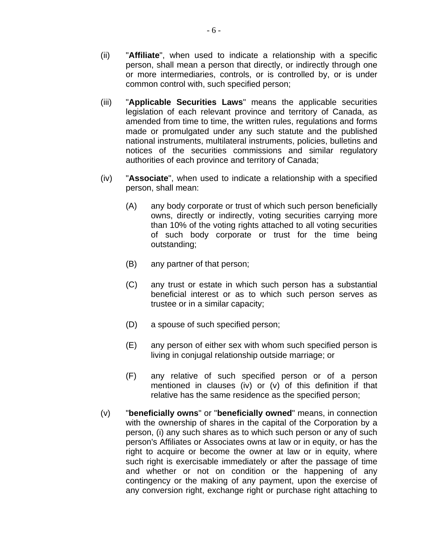- common control with, such specified person; (ii) "**Affiliate**", when used to indicate a relationship with a specific person, shall mean a person that directly, or indirectly through one or more intermediaries, controls, or is controlled by, or is under
- (iii) "**Applicable Securities Laws**" means the applicable securities legislation of each relevant province and territory of Canada, as amended from time to time, the written rules, regulations and forms made or promulgated under any such statute and the published national instruments, multilateral instruments, policies, bulletins and notices of the securities commissions and similar regulatory authorities of each province and territory of Canada;
- (iv) "**Associate**", when used to indicate a relationship with a specified person, shall mean:
	- (A) any body corporate or trust of which such person beneficially owns, directly or indirectly, voting securities carrying more than 10% of the voting rights attached to all voting securities of such body corporate or trust for the time being outstanding;
	- (B) any partner of that person;
	- (C) any trust or estate in which such person has a substantial beneficial interest or as to which such person serves as trustee or in a similar capacity;
	- (D) a spouse of such specified person;
	- (E) any person of either sex with whom such specified person is living in conjugal relationship outside marriage; or
	- (F) any relative of such specified person or of a person mentioned in clauses (iv) or (v) of this definition if that relative has the same residence as the specified person;
- (v) "**beneficially owns**" or "**beneficially owned**" means, in connection with the ownership of shares in the capital of the Corporation by a person, (i) any such shares as to which such person or any of such person's Affiliates or Associates owns at law or in equity, or has the right to acquire or become the owner at law or in equity, where such right is exercisable immediately or after the passage of time and whether or not on condition or the happening of any contingency or the making of any payment, upon the exercise of any conversion right, exchange right or purchase right attaching to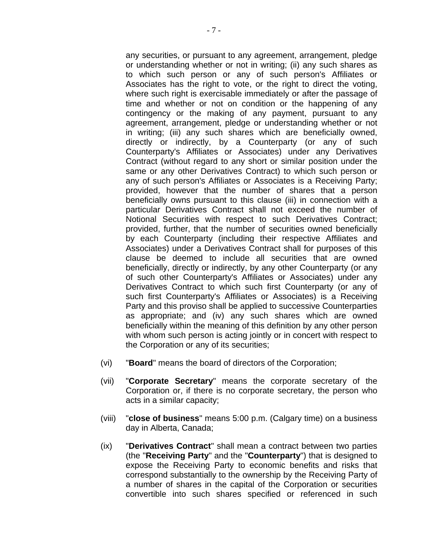any securities, or pursuant to any agreement, arrangement, pledge or understanding whether or not in writing; (ii) any such shares as to which such person or any of such person's Affiliates or Associates has the right to vote, or the right to direct the voting, where such right is exercisable immediately or after the passage of time and whether or not on condition or the happening of any contingency or the making of any payment, pursuant to any agreement, arrangement, pledge or understanding whether or not in writing; (iii) any such shares which are beneficially owned, directly or indirectly, by a Counterparty (or any of such Counterparty's Affiliates or Associates) under any Derivatives Contract (without regard to any short or similar position under the same or any other Derivatives Contract) to which such person or any of such person's Affiliates or Associates is a Receiving Party; provided, however that the number of shares that a person beneficially owns pursuant to this clause (iii) in connection with a particular Derivatives Contract shall not exceed the number of Notional Securities with respect to such Derivatives Contract; provided, further, that the number of securities owned beneficially by each Counterparty (including their respective Affiliates and Associates) under a Derivatives Contract shall for purposes of this clause be deemed to include all securities that are owned beneficially, directly or indirectly, by any other Counterparty (or any of such other Counterparty's Affiliates or Associates) under any Derivatives Contract to which such first Counterparty (or any of such first Counterparty's Affiliates or Associates) is a Receiving Party and this proviso shall be applied to successive Counterparties as appropriate; and (iv) any such shares which are owned beneficially within the meaning of this definition by any other person with whom such person is acting jointly or in concert with respect to the Corporation or any of its securities;

- (vi) "**Board**" means the board of directors of the Corporation;
- (vii) "**Corporate Secretary**" means the corporate secretary of the Corporation or, if there is no corporate secretary, the person who acts in a similar capacity;
- (viii) "**close of business**" means 5:00 p.m. (Calgary time) on a business day in Alberta, Canada;
- (ix) "**Derivatives Contract**" shall mean a contract between two parties (the "**Receiving Party**" and the "**Counterparty**") that is designed to expose the Receiving Party to economic benefits and risks that correspond substantially to the ownership by the Receiving Party of a number of shares in the capital of the Corporation or securities convertible into such shares specified or referenced in such